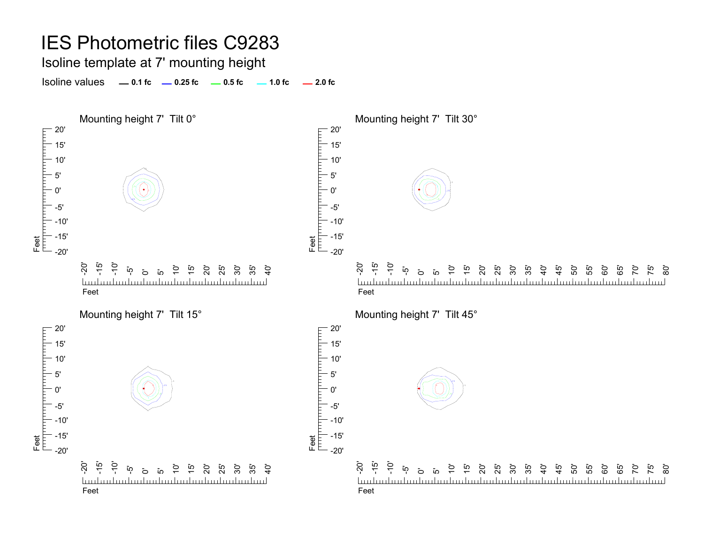Isoline template at 7' mounting height

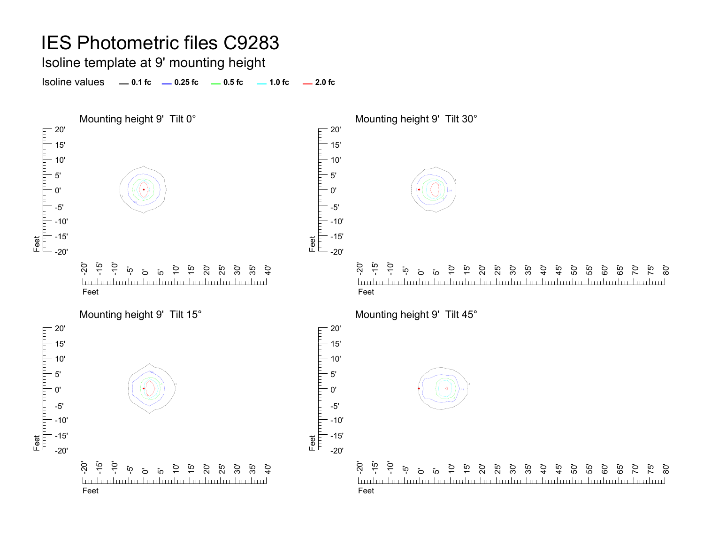Isoline template at 9' mounting height

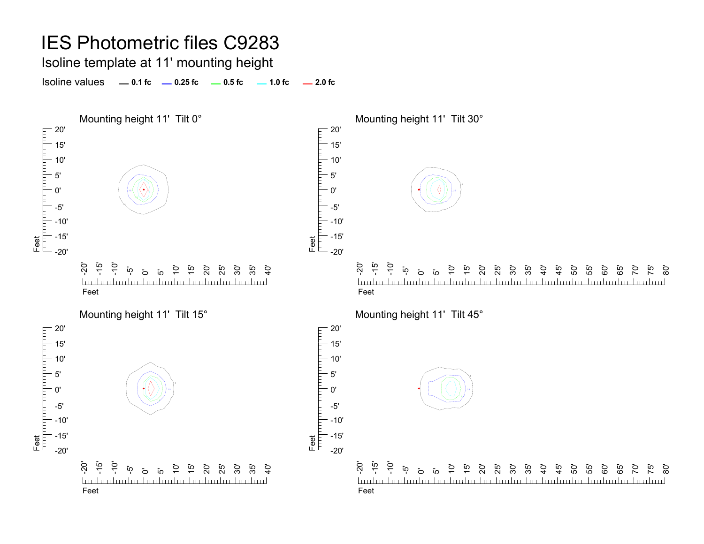Isoline template at 11' mounting height

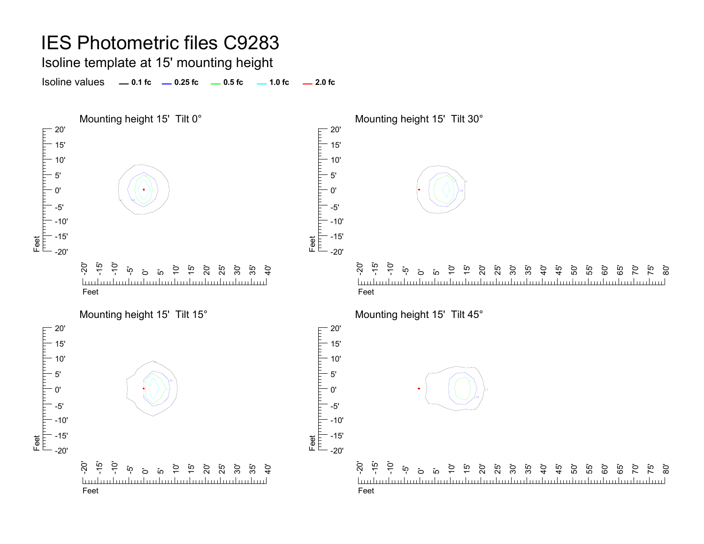Isoline template at 15' mounting height

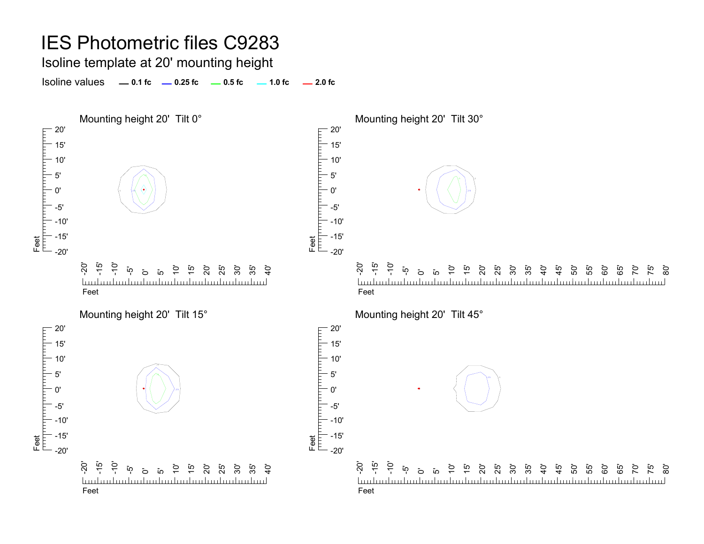Isoline template at 20' mounting height